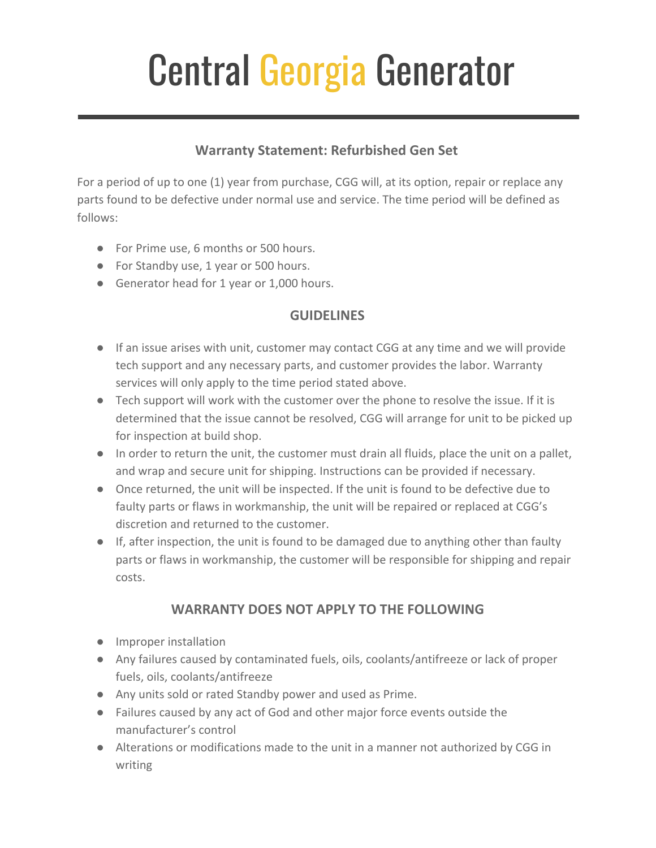## Central Georgia Generator

## **Warranty Statement: Refurbished Gen Set**

For a period of up to one (1) year from purchase, CGG will, at its option, repair or replace any parts found to be defective under normal use and service. The time period will be defined as follows:

- For Prime use, 6 months or 500 hours.
- For Standby use, 1 year or 500 hours.
- Generator head for 1 year or 1,000 hours.

## **GUIDELINES**

- If an issue arises with unit, customer may contact CGG at any time and we will provide tech support and any necessary parts, and customer provides the labor. Warranty services will only apply to the time period stated above.
- Tech support will work with the customer over the phone to resolve the issue. If it is determined that the issue cannot be resolved, CGG will arrange for unit to be picked up for inspection at build shop.
- In order to return the unit, the customer must drain all fluids, place the unit on a pallet, and wrap and secure unit for shipping. Instructions can be provided if necessary.
- Once returned, the unit will be inspected. If the unit is found to be defective due to faulty parts or flaws in workmanship, the unit will be repaired or replaced at CGG's discretion and returned to the customer.
- If, after inspection, the unit is found to be damaged due to anything other than faulty parts or flaws in workmanship, the customer will be responsible for shipping and repair costs.

## **WARRANTY DOES NOT APPLY TO THE FOLLOWING**

- Improper installation
- Any failures caused by contaminated fuels, oils, coolants/antifreeze or lack of proper fuels, oils, coolants/antifreeze
- Any units sold or rated Standby power and used as Prime.
- Failures caused by any act of God and other major force events outside the manufacturer's control
- Alterations or modifications made to the unit in a manner not authorized by CGG in writing